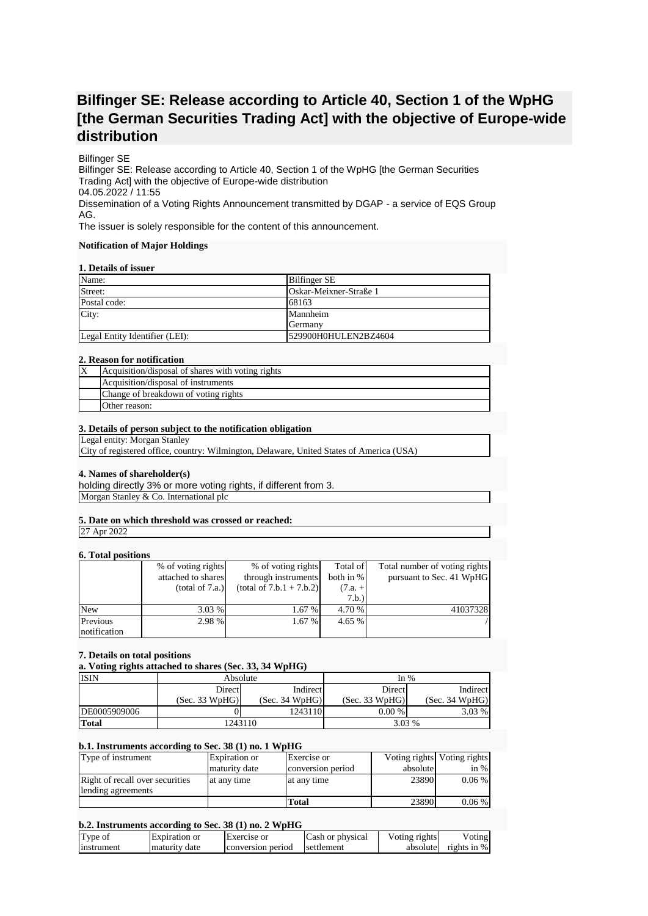# **Bilfinger SE: Release according to Article 40, Section 1 of the WpHG [the German Securities Trading Act] with the objective of Europe-wide distribution**

# Bilfinger SE

Bilfinger SE: Release according to Article 40, Section 1 of the WpHG [the German Securities Trading Act] with the objective of Europe-wide distribution 04.05.2022 / 11:55 Dissemination of a Voting Rights Announcement transmitted by DGAP - a service of EQS Group AG.

The issuer is solely responsible for the content of this announcement.

#### **Notification of Major Holdings**

## **1. Details of issuer**

| Name:                          | Bilfinger SE           |
|--------------------------------|------------------------|
| Street:                        | Oskar-Meixner-Straße 1 |
| Postal code:                   | 68163                  |
| City:                          | Mannheim               |
|                                | Germany                |
| Legal Entity Identifier (LEI): | 529900H0HULEN2BZ4604   |

## **2. Reason for notification**

| $\mathbf{X}$ | Acquisition/disposal of shares with voting rights |
|--------------|---------------------------------------------------|
|              | Acquisition/disposal of instruments               |
|              | Change of breakdown of voting rights              |
|              | Other reason:                                     |

## **3. Details of person subject to the notification obligation**

Legal entity: Morgan Stanley

City of registered office, country: Wilmington, Delaware, United States of America (USA)

# **4. Names of shareholder(s)**

holding directly 3% or more voting rights, if different from 3. Morgan Stanley & Co. International plc

# **5. Date on which threshold was crossed or reached:**

27 Apr 2022

# **6. Total positions**

| <b>v. Total positions</b> |                    |                            |           |                               |
|---------------------------|--------------------|----------------------------|-----------|-------------------------------|
|                           | % of voting rights | % of voting rights         | Total of  | Total number of voting rights |
|                           | attached to shares | through instruments        | both in % | pursuant to Sec. 41 WpHG      |
|                           | (total of 7.a.)    | $(total of 7.b.1 + 7.b.2)$ | $(7.a. +$ |                               |
|                           |                    |                            | 7.b.)     |                               |
| <b>New</b>                | 3.03%              | $1.67\%$                   | 4.70 %    | 41037328                      |
| Previous                  | 2.98 %             | 1.67%                      | 4.65 %    |                               |
| notification              |                    |                            |           |                               |

# **7. Details on total positions**

**a. Voting rights attached to shares (Sec. 33, 34 WpHG)**

| <b>ISIN</b>  | Absolute       |                | In $%$         |                |
|--------------|----------------|----------------|----------------|----------------|
|              | <b>Direct</b>  | Indirect       | Direct         | Indirect       |
|              | (Sec. 33 WpHG) | (Sec. 34 WpHG) | (Sec. 33 WpHG) | (Sec. 34 WpHG) |
| DE0005909006 |                | 1243110        | 0.00 %         | 3.03%          |
| Total        |                | 1243110        | 3.03 %         |                |

#### **b.1. Instruments according to Sec. 38 (1) no. 1 WpHG**

| Type of instrument              | Expiration or | Exercise or       |          | Voting rights Voting rights |
|---------------------------------|---------------|-------------------|----------|-----------------------------|
|                                 | maturity date | conversion period | absolute | in $%$                      |
| Right of recall over securities | at any time   | at any time       | 23890    | $0.06\%$                    |
| lending agreements              |               |                   |          |                             |
|                                 |               | Total             | 23890    | $0.06\%$                    |

# **b.2. Instruments according to Sec. 38 (1) no. 2 WpHG**

| Type of           | Expiration or | Exercise or       | Cash or physical | Voting rights | /oting         |
|-------------------|---------------|-------------------|------------------|---------------|----------------|
| <b>Instrument</b> | maturity date | conversion period | settlement       | absolute      | rights in $\%$ |